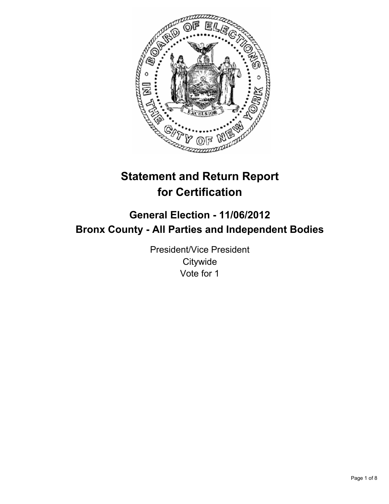

# **Statement and Return Report for Certification**

## **General Election - 11/06/2012 Bronx County - All Parties and Independent Bodies**

President/Vice President **Citywide** Vote for 1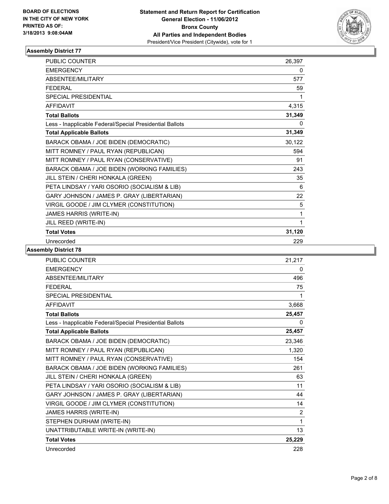

| <b>PUBLIC COUNTER</b>                                    | 26,397 |
|----------------------------------------------------------|--------|
| <b>EMERGENCY</b>                                         | 0      |
| <b>ABSENTEE/MILITARY</b>                                 | 577    |
| <b>FFDFRAL</b>                                           | 59     |
| <b>SPECIAL PRESIDENTIAL</b>                              | 1      |
| <b>AFFIDAVIT</b>                                         | 4,315  |
| <b>Total Ballots</b>                                     | 31,349 |
| Less - Inapplicable Federal/Special Presidential Ballots | 0      |
| <b>Total Applicable Ballots</b>                          | 31,349 |
| BARACK OBAMA / JOE BIDEN (DEMOCRATIC)                    | 30,122 |
| MITT ROMNEY / PAUL RYAN (REPUBLICAN)                     | 594    |
| MITT ROMNEY / PAUL RYAN (CONSERVATIVE)                   | 91     |
| BARACK OBAMA / JOE BIDEN (WORKING FAMILIES)              | 243    |
| JILL STEIN / CHERI HONKALA (GREEN)                       | 35     |
| PETA LINDSAY / YARI OSORIO (SOCIALISM & LIB)             | 6      |
| GARY JOHNSON / JAMES P. GRAY (LIBERTARIAN)               | 22     |
| VIRGIL GOODE / JIM CLYMER (CONSTITUTION)                 | 5      |
| JAMES HARRIS (WRITE-IN)                                  | 1      |
| JILL REED (WRITE-IN)                                     | 1      |
| <b>Total Votes</b>                                       | 31,120 |
| Unrecorded                                               | 229    |

| <b>PUBLIC COUNTER</b>                                    | 21,217         |
|----------------------------------------------------------|----------------|
| <b>EMERGENCY</b>                                         | 0              |
| ABSENTEE/MILITARY                                        | 496            |
| <b>FEDERAL</b>                                           | 75             |
| <b>SPECIAL PRESIDENTIAL</b>                              | 1              |
| <b>AFFIDAVIT</b>                                         | 3,668          |
| <b>Total Ballots</b>                                     | 25,457         |
| Less - Inapplicable Federal/Special Presidential Ballots | 0              |
| <b>Total Applicable Ballots</b>                          | 25,457         |
| BARACK OBAMA / JOE BIDEN (DEMOCRATIC)                    | 23,346         |
| MITT ROMNEY / PAUL RYAN (REPUBLICAN)                     | 1,320          |
| MITT ROMNEY / PAUL RYAN (CONSERVATIVE)                   | 154            |
| BARACK OBAMA / JOE BIDEN (WORKING FAMILIES)              | 261            |
| JILL STEIN / CHERI HONKALA (GREEN)                       | 63             |
| PETA LINDSAY / YARI OSORIO (SOCIALISM & LIB)             | 11             |
| GARY JOHNSON / JAMES P. GRAY (LIBERTARIAN)               | 44             |
| VIRGIL GOODE / JIM CLYMER (CONSTITUTION)                 | 14             |
| JAMES HARRIS (WRITE-IN)                                  | $\overline{2}$ |
| STEPHEN DURHAM (WRITE-IN)                                | 1              |
| UNATTRIBUTABLE WRITE-IN (WRITE-IN)                       | 13             |
| <b>Total Votes</b>                                       | 25,229         |
| Unrecorded                                               | 228            |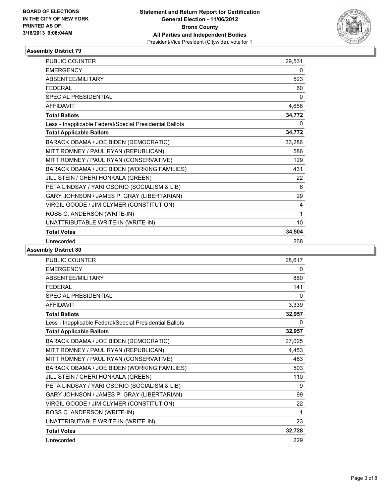

| PUBLIC COUNTER                                           | 29,531 |
|----------------------------------------------------------|--------|
| <b>EMERGENCY</b>                                         | 0      |
| ABSENTEE/MILITARY                                        | 523    |
| <b>FEDERAL</b>                                           | 60     |
| <b>SPECIAL PRESIDENTIAL</b>                              | 0      |
| <b>AFFIDAVIT</b>                                         | 4,658  |
| <b>Total Ballots</b>                                     | 34,772 |
| Less - Inapplicable Federal/Special Presidential Ballots | 0      |
| <b>Total Applicable Ballots</b>                          | 34,772 |
| BARACK OBAMA / JOE BIDEN (DEMOCRATIC)                    | 33,286 |
| MITT ROMNEY / PAUL RYAN (REPUBLICAN)                     | 586    |
| MITT ROMNEY / PAUL RYAN (CONSERVATIVE)                   | 129    |
| BARACK OBAMA / JOE BIDEN (WORKING FAMILIES)              | 431    |
| JILL STEIN / CHERI HONKALA (GREEN)                       | 22     |
| PETA LINDSAY / YARI OSORIO (SOCIALISM & LIB)             | 6      |
| GARY JOHNSON / JAMES P. GRAY (LIBERTARIAN)               | 29     |
| VIRGIL GOODE / JIM CLYMER (CONSTITUTION)                 | 4      |
| ROSS C. ANDERSON (WRITE-IN)                              | 1      |
| UNATTRIBUTABLE WRITE-IN (WRITE-IN)                       | 10     |
| <b>Total Votes</b>                                       | 34,504 |
| Unrecorded                                               | 268    |

| <b>PUBLIC COUNTER</b>                                    | 28,617 |
|----------------------------------------------------------|--------|
| <b>EMERGENCY</b>                                         | 0      |
| <b>ABSENTEE/MILITARY</b>                                 | 860    |
| <b>FFDFRAI</b>                                           | 141    |
| SPECIAL PRESIDENTIAL                                     | 0      |
| <b>AFFIDAVIT</b>                                         | 3,339  |
| <b>Total Ballots</b>                                     | 32,957 |
| Less - Inapplicable Federal/Special Presidential Ballots | 0      |
| <b>Total Applicable Ballots</b>                          | 32,957 |
| BARACK OBAMA / JOE BIDEN (DEMOCRATIC)                    | 27,025 |
| MITT ROMNEY / PAUL RYAN (REPUBLICAN)                     | 4,453  |
| MITT ROMNEY / PAUL RYAN (CONSERVATIVE)                   | 483    |
| BARACK OBAMA / JOE BIDEN (WORKING FAMILIES)              | 503    |
| JILL STEIN / CHERI HONKALA (GREEN)                       | 110    |
| PETA LINDSAY / YARI OSORIO (SOCIALISM & LIB)             | 9      |
| GARY JOHNSON / JAMES P. GRAY (LIBERTARIAN)               | 99     |
| VIRGIL GOODE / JIM CLYMER (CONSTITUTION)                 | 22     |
| ROSS C. ANDERSON (WRITE-IN)                              | 1      |
| UNATTRIBUTABLE WRITE-IN (WRITE-IN)                       | 23     |
| <b>Total Votes</b>                                       | 32,728 |
| Unrecorded                                               | 229    |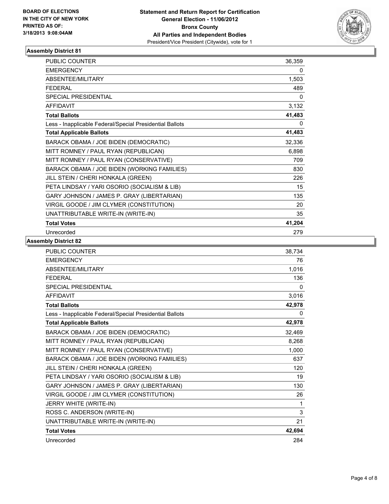

| <b>PUBLIC COUNTER</b>                                    | 36,359 |
|----------------------------------------------------------|--------|
| <b>EMERGENCY</b>                                         | 0      |
| ABSENTEE/MILITARY                                        | 1,503  |
| <b>FEDERAL</b>                                           | 489    |
| SPECIAL PRESIDENTIAL                                     | 0      |
| <b>AFFIDAVIT</b>                                         | 3,132  |
| <b>Total Ballots</b>                                     | 41,483 |
| Less - Inapplicable Federal/Special Presidential Ballots | 0      |
| <b>Total Applicable Ballots</b>                          | 41,483 |
| BARACK OBAMA / JOE BIDEN (DEMOCRATIC)                    | 32,336 |
| MITT ROMNEY / PAUL RYAN (REPUBLICAN)                     | 6,898  |
| MITT ROMNEY / PAUL RYAN (CONSERVATIVE)                   | 709    |
| BARACK OBAMA / JOE BIDEN (WORKING FAMILIES)              | 830    |
| JILL STEIN / CHERI HONKALA (GREEN)                       | 226    |
| PETA LINDSAY / YARI OSORIO (SOCIALISM & LIB)             | 15     |
| GARY JOHNSON / JAMES P. GRAY (LIBERTARIAN)               | 135    |
| VIRGIL GOODE / JIM CLYMER (CONSTITUTION)                 | 20     |
| UNATTRIBUTABLE WRITE-IN (WRITE-IN)                       | 35     |
| <b>Total Votes</b>                                       | 41,204 |
| Unrecorded                                               | 279    |

| <b>PUBLIC COUNTER</b>                                    | 38,734   |
|----------------------------------------------------------|----------|
| <b>EMERGENCY</b>                                         | 76       |
| <b>ABSENTEE/MILITARY</b>                                 | 1,016    |
| <b>FFDFRAL</b>                                           | 136      |
| <b>SPECIAL PRESIDENTIAL</b>                              | $\Omega$ |
| <b>AFFIDAVIT</b>                                         | 3,016    |
| <b>Total Ballots</b>                                     | 42,978   |
| Less - Inapplicable Federal/Special Presidential Ballots | 0        |
| <b>Total Applicable Ballots</b>                          | 42,978   |
| BARACK OBAMA / JOE BIDEN (DEMOCRATIC)                    | 32,469   |
| MITT ROMNEY / PAUL RYAN (REPUBLICAN)                     | 8,268    |
| MITT ROMNEY / PAUL RYAN (CONSERVATIVE)                   | 1,000    |
| BARACK OBAMA / JOE BIDEN (WORKING FAMILIES)              | 637      |
| JILL STEIN / CHERI HONKALA (GREEN)                       | 120      |
| PETA LINDSAY / YARI OSORIO (SOCIALISM & LIB)             | 19       |
| GARY JOHNSON / JAMES P. GRAY (LIBERTARIAN)               | 130      |
| VIRGIL GOODE / JIM CLYMER (CONSTITUTION)                 | 26       |
| JERRY WHITE (WRITE-IN)                                   | 1        |
| ROSS C. ANDERSON (WRITE-IN)                              | 3        |
| UNATTRIBUTABLE WRITE-IN (WRITE-IN)                       | 21       |
| <b>Total Votes</b>                                       | 42,694   |
| Unrecorded                                               | 284      |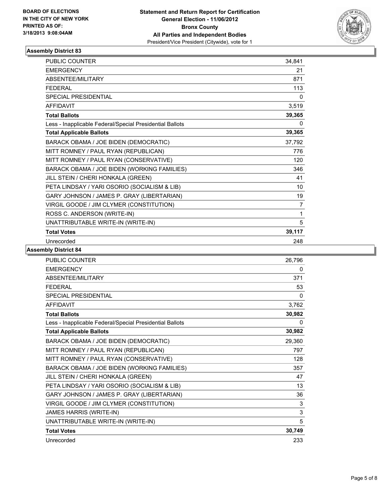

| <b>PUBLIC COUNTER</b>                                    | 34,841         |
|----------------------------------------------------------|----------------|
| <b>EMERGENCY</b>                                         | 21             |
| ABSENTEE/MILITARY                                        | 871            |
| <b>FEDERAL</b>                                           | 113            |
| <b>SPECIAL PRESIDENTIAL</b>                              | 0              |
| <b>AFFIDAVIT</b>                                         | 3,519          |
| <b>Total Ballots</b>                                     | 39,365         |
| Less - Inapplicable Federal/Special Presidential Ballots | 0              |
| <b>Total Applicable Ballots</b>                          | 39,365         |
| BARACK OBAMA / JOE BIDEN (DEMOCRATIC)                    | 37,792         |
| MITT ROMNEY / PAUL RYAN (REPUBLICAN)                     | 776            |
| MITT ROMNEY / PAUL RYAN (CONSERVATIVE)                   | 120            |
| BARACK OBAMA / JOE BIDEN (WORKING FAMILIES)              | 346            |
| JILL STEIN / CHERI HONKALA (GREEN)                       | 41             |
| PETA LINDSAY / YARI OSORIO (SOCIALISM & LIB)             | 10             |
| GARY JOHNSON / JAMES P. GRAY (LIBERTARIAN)               | 19             |
| VIRGIL GOODE / JIM CLYMER (CONSTITUTION)                 | $\overline{7}$ |
| ROSS C. ANDERSON (WRITE-IN)                              | 1              |
| UNATTRIBUTABLE WRITE-IN (WRITE-IN)                       | 5              |
| <b>Total Votes</b>                                       | 39,117         |
| Unrecorded                                               | 248            |

| <b>PUBLIC COUNTER</b>                                    | 26,796 |
|----------------------------------------------------------|--------|
| <b>EMERGENCY</b>                                         | 0      |
| <b>ABSENTEE/MILITARY</b>                                 | 371    |
| <b>FFDFRAL</b>                                           | 53     |
| SPECIAL PRESIDENTIAL                                     | 0      |
| <b>AFFIDAVIT</b>                                         | 3,762  |
| <b>Total Ballots</b>                                     | 30,982 |
| Less - Inapplicable Federal/Special Presidential Ballots | 0      |
| <b>Total Applicable Ballots</b>                          | 30,982 |
| BARACK OBAMA / JOE BIDEN (DEMOCRATIC)                    | 29,360 |
| MITT ROMNEY / PAUL RYAN (REPUBLICAN)                     | 797    |
| MITT ROMNEY / PAUL RYAN (CONSERVATIVE)                   | 128    |
| BARACK OBAMA / JOE BIDEN (WORKING FAMILIES)              | 357    |
| JILL STEIN / CHERI HONKALA (GREEN)                       | 47     |
| PETA LINDSAY / YARI OSORIO (SOCIALISM & LIB)             | 13     |
| GARY JOHNSON / JAMES P. GRAY (LIBERTARIAN)               | 36     |
| VIRGIL GOODE / JIM CLYMER (CONSTITUTION)                 | 3      |
| JAMES HARRIS (WRITE-IN)                                  | 3      |
| UNATTRIBUTABLE WRITE-IN (WRITE-IN)                       | 5      |
| <b>Total Votes</b>                                       | 30,749 |
| Unrecorded                                               | 233    |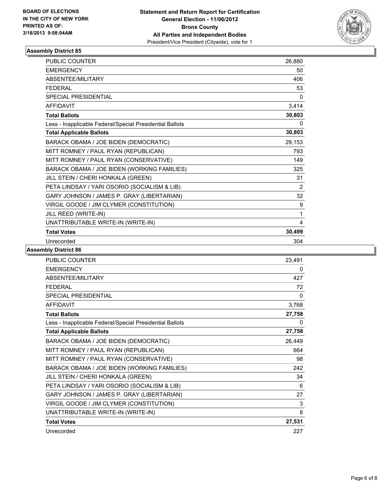

| PUBLIC COUNTER                                           | 26,880 |
|----------------------------------------------------------|--------|
| <b>EMERGENCY</b>                                         | 50     |
| ABSENTEE/MILITARY                                        | 406    |
| <b>FEDERAL</b>                                           | 53     |
| <b>SPECIAL PRESIDENTIAL</b>                              | 0      |
| <b>AFFIDAVIT</b>                                         | 3,414  |
| <b>Total Ballots</b>                                     | 30,803 |
| Less - Inapplicable Federal/Special Presidential Ballots | 0      |
| <b>Total Applicable Ballots</b>                          | 30,803 |
| BARACK OBAMA / JOE BIDEN (DEMOCRATIC)                    | 29,153 |
| MITT ROMNEY / PAUL RYAN (REPUBLICAN)                     | 793    |
| MITT ROMNEY / PAUL RYAN (CONSERVATIVE)                   | 149    |
| BARACK OBAMA / JOE BIDEN (WORKING FAMILIES)              | 325    |
| JILL STEIN / CHERI HONKALA (GREEN)                       | 31     |
| PETA LINDSAY / YARI OSORIO (SOCIALISM & LIB)             | 2      |
| GARY JOHNSON / JAMES P. GRAY (LIBERTARIAN)               | 32     |
| VIRGIL GOODE / JIM CLYMER (CONSTITUTION)                 | 9      |
| JILL REED (WRITE-IN)                                     | 1      |
| UNATTRIBUTABLE WRITE-IN (WRITE-IN)                       | 4      |
| <b>Total Votes</b>                                       | 30,499 |
| Unrecorded                                               | 304    |

| PUBLIC COUNTER                                           | 23,491 |
|----------------------------------------------------------|--------|
| <b>EMERGENCY</b>                                         | 0      |
| ABSENTEE/MILITARY                                        | 427    |
| <b>FEDERAL</b>                                           | 72     |
| SPECIAL PRESIDENTIAL                                     | 0      |
| <b>AFFIDAVIT</b>                                         | 3,768  |
| <b>Total Ballots</b>                                     | 27,758 |
| Less - Inapplicable Federal/Special Presidential Ballots | 0      |
| <b>Total Applicable Ballots</b>                          | 27,758 |
| BARACK OBAMA / JOE BIDEN (DEMOCRATIC)                    | 26,449 |
| MITT ROMNEY / PAUL RYAN (REPUBLICAN)                     | 664    |
| MITT ROMNEY / PAUL RYAN (CONSERVATIVE)                   | 98     |
| BARACK OBAMA / JOE BIDEN (WORKING FAMILIES)              | 242    |
| JILL STEIN / CHERI HONKALA (GREEN)                       | 34     |
| PETA LINDSAY / YARI OSORIO (SOCIALISM & LIB)             | 6      |
| GARY JOHNSON / JAMES P. GRAY (LIBERTARIAN)               | 27     |
| VIRGIL GOODE / JIM CLYMER (CONSTITUTION)                 | 3      |
| UNATTRIBUTABLE WRITE-IN (WRITE-IN)                       | 8      |
| <b>Total Votes</b>                                       | 27,531 |
| Unrecorded                                               | 227    |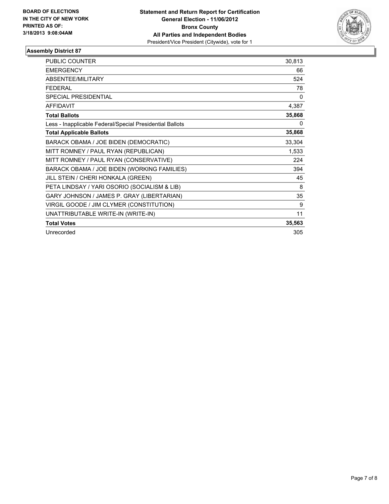

| <b>PUBLIC COUNTER</b>                                    | 30,813 |
|----------------------------------------------------------|--------|
| <b>EMERGENCY</b>                                         | 66     |
| ABSENTEE/MILITARY                                        | 524    |
| <b>FEDERAL</b>                                           | 78     |
| SPECIAL PRESIDENTIAL                                     | 0      |
| <b>AFFIDAVIT</b>                                         | 4,387  |
| <b>Total Ballots</b>                                     | 35,868 |
| Less - Inapplicable Federal/Special Presidential Ballots | 0      |
| <b>Total Applicable Ballots</b>                          | 35,868 |
| BARACK OBAMA / JOE BIDEN (DEMOCRATIC)                    | 33,304 |
| MITT ROMNEY / PAUL RYAN (REPUBLICAN)                     | 1,533  |
| MITT ROMNEY / PAUL RYAN (CONSERVATIVE)                   | 224    |
| BARACK OBAMA / JOE BIDEN (WORKING FAMILIES)              | 394    |
| JILL STEIN / CHERI HONKALA (GREEN)                       | 45     |
| PETA LINDSAY / YARI OSORIO (SOCIALISM & LIB)             | 8      |
| GARY JOHNSON / JAMES P. GRAY (LIBERTARIAN)               | 35     |
| VIRGIL GOODE / JIM CLYMER (CONSTITUTION)                 | 9      |
| UNATTRIBUTABLE WRITE-IN (WRITE-IN)                       | 11     |
| <b>Total Votes</b>                                       | 35,563 |
| Unrecorded                                               | 305    |